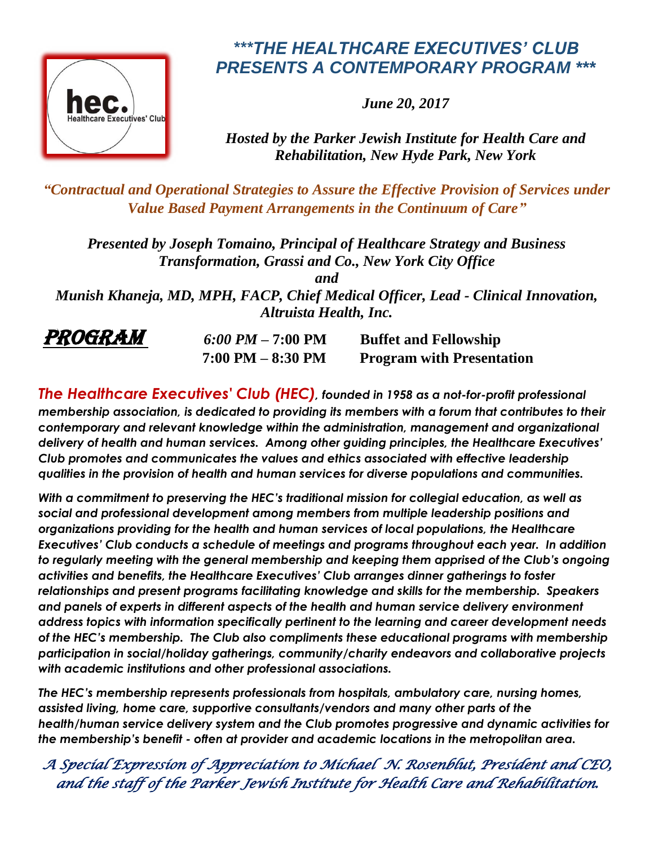

## *\*\*\*THE HEALTHCARE EXECUTIVES' CLUB PRESENTS A CONTEMPORARY PROGRAM \*\*\**

*June 20, 2017*

*Hosted by the Parker Jewish Institute for Health Care and Rehabilitation, New Hyde Park, New York* 

*"Contractual and Operational Strategies to Assure the Effective Provision of Services under Value Based Payment Arrangements in the Continuum of Care"*

*Presented by Joseph Tomaino, Principal of Healthcare Strategy and Business Transformation, Grassi and Co., New York City Office*

*and*

*Munish Khaneja, MD, MPH, FACP, Chief Medical Officer, Lead - Clinical Innovation, Altruista Health, Inc.* 



**PROGRAM** 6:00 PM – 7:00 PM Buffet and Fellowship  **7:00 PM – 8:30 PM Program with Presentation**

*The Healthcare Executives' Club (HEC), founded in 1958 as a not-for-profit professional membership association, is dedicated to providing its members with a forum that contributes to their contemporary and relevant knowledge within the administration, management and organizational delivery of health and human services. Among other guiding principles, the Healthcare Executives' Club promotes and communicates the values and ethics associated with effective leadership qualities in the provision of health and human services for diverse populations and communities.*

*With a commitment to preserving the HEC's traditional mission for collegial education, as well as social and professional development among members from multiple leadership positions and organizations providing for the health and human services of local populations, the Healthcare Executives' Club conducts a schedule of meetings and programs throughout each year. In addition to regularly meeting with the general membership and keeping them apprised of the Club's ongoing activities and benefits, the Healthcare Executives' Club arranges dinner gatherings to foster relationships and present programs facilitating knowledge and skills for the membership. Speakers and panels of experts in different aspects of the health and human service delivery environment address topics with information specifically pertinent to the learning and career development needs of the HEC's membership. The Club also compliments these educational programs with membership participation in social/holiday gatherings, community/charity endeavors and collaborative projects with academic institutions and other professional associations.*

*The HEC's membership represents professionals from hospitals, ambulatory care, nursing homes, assisted living, home care, supportive consultants/vendors and many other parts of the health/human service delivery system and the Club promotes progressive and dynamic activities for the membership's benefit - often at provider and academic locations in the metropolitan area.*

*A Special Expression of Appreciation to Michael N. Rosenblut, President and CEO, and the staff of the Parker Jewish Institute for Health Care and Rehabilitation.*